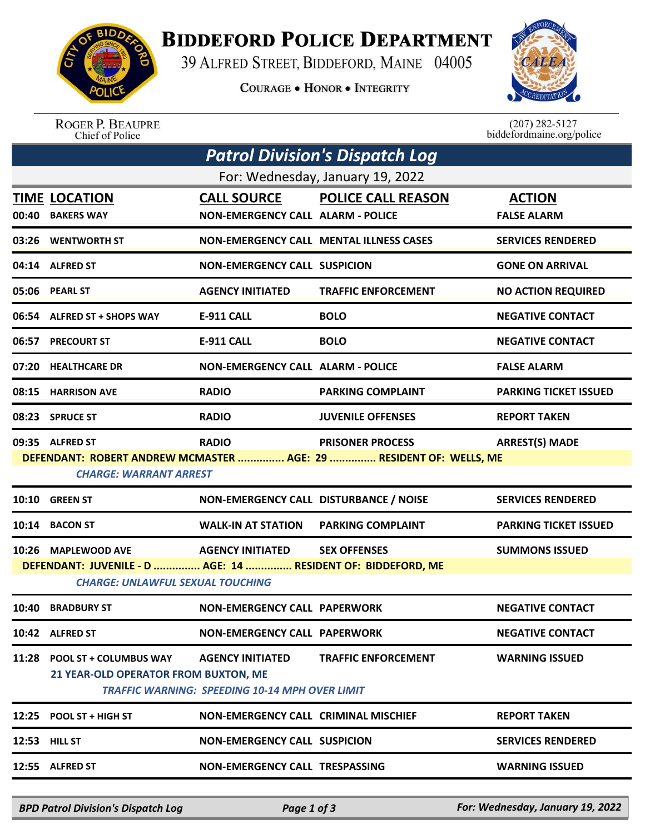

## **BIDDEFORD POLICE DEPARTMENT**

39 ALFRED STREET, BIDDEFORD, MAINE 04005

**COURAGE . HONOR . INTEGRITY** 



ROGER P. BEAUPRE<br>Chief of Police

 $(207)$  282-5127 biddefordmaine.org/police

| <b>Patrol Division's Dispatch Log</b>                                                         |                           |                               |                                                                                                                                                                                                                                                                                                                                                                                                                                                                                                                                                                                                                     |  |  |  |  |
|-----------------------------------------------------------------------------------------------|---------------------------|-------------------------------|---------------------------------------------------------------------------------------------------------------------------------------------------------------------------------------------------------------------------------------------------------------------------------------------------------------------------------------------------------------------------------------------------------------------------------------------------------------------------------------------------------------------------------------------------------------------------------------------------------------------|--|--|--|--|
| For: Wednesday, January 19, 2022                                                              |                           |                               |                                                                                                                                                                                                                                                                                                                                                                                                                                                                                                                                                                                                                     |  |  |  |  |
| <b>TIME LOCATION</b><br><b>BAKERS WAY</b>                                                     |                           |                               | <b>ACTION</b><br><b>FALSE ALARM</b>                                                                                                                                                                                                                                                                                                                                                                                                                                                                                                                                                                                 |  |  |  |  |
| 03:26 WENTWORTH ST                                                                            |                           |                               | <b>SERVICES RENDERED</b>                                                                                                                                                                                                                                                                                                                                                                                                                                                                                                                                                                                            |  |  |  |  |
| 04:14 ALFRED ST                                                                               |                           |                               | <b>GONE ON ARRIVAL</b>                                                                                                                                                                                                                                                                                                                                                                                                                                                                                                                                                                                              |  |  |  |  |
| 05:06 PEARL ST                                                                                | <b>AGENCY INITIATED</b>   | <b>TRAFFIC ENFORCEMENT</b>    | <b>NO ACTION REQUIRED</b>                                                                                                                                                                                                                                                                                                                                                                                                                                                                                                                                                                                           |  |  |  |  |
| 06:54 ALFRED ST + SHOPS WAY                                                                   | <b>E-911 CALL</b>         | <b>BOLO</b>                   | <b>NEGATIVE CONTACT</b>                                                                                                                                                                                                                                                                                                                                                                                                                                                                                                                                                                                             |  |  |  |  |
| <b>PRECOURT ST</b>                                                                            | <b>E-911 CALL</b>         | <b>BOLO</b>                   | <b>NEGATIVE CONTACT</b>                                                                                                                                                                                                                                                                                                                                                                                                                                                                                                                                                                                             |  |  |  |  |
| 07:20 HEALTHCARE DR                                                                           |                           |                               | <b>FALSE ALARM</b>                                                                                                                                                                                                                                                                                                                                                                                                                                                                                                                                                                                                  |  |  |  |  |
| <b>HARRISON AVE</b>                                                                           | <b>RADIO</b>              | <b>PARKING COMPLAINT</b>      | <b>PARKING TICKET ISSUED</b>                                                                                                                                                                                                                                                                                                                                                                                                                                                                                                                                                                                        |  |  |  |  |
| 08:23 SPRUCE ST                                                                               | <b>RADIO</b>              | <b>JUVENILE OFFENSES</b>      | <b>REPORT TAKEN</b>                                                                                                                                                                                                                                                                                                                                                                                                                                                                                                                                                                                                 |  |  |  |  |
| 09:35 ALFRED ST                                                                               | <b>RADIO</b>              | <b>PRISONER PROCESS</b>       | <b>ARREST(S) MADE</b>                                                                                                                                                                                                                                                                                                                                                                                                                                                                                                                                                                                               |  |  |  |  |
|                                                                                               |                           |                               |                                                                                                                                                                                                                                                                                                                                                                                                                                                                                                                                                                                                                     |  |  |  |  |
| <b>GREEN ST</b>                                                                               |                           |                               | <b>SERVICES RENDERED</b>                                                                                                                                                                                                                                                                                                                                                                                                                                                                                                                                                                                            |  |  |  |  |
| <b>BACON ST</b>                                                                               | <b>WALK-IN AT STATION</b> | <b>PARKING COMPLAINT</b>      | <b>PARKING TICKET ISSUED</b>                                                                                                                                                                                                                                                                                                                                                                                                                                                                                                                                                                                        |  |  |  |  |
| 10:26 MAPLEWOOD AVE                                                                           | <b>AGENCY INITIATED</b>   | <b>SEX OFFENSES</b>           | <b>SUMMONS ISSUED</b>                                                                                                                                                                                                                                                                                                                                                                                                                                                                                                                                                                                               |  |  |  |  |
| <b>CHARGE: UNLAWFUL SEXUAL TOUCHING</b>                                                       |                           |                               |                                                                                                                                                                                                                                                                                                                                                                                                                                                                                                                                                                                                                     |  |  |  |  |
| 10:40 BRADBURY ST                                                                             |                           |                               | <b>NEGATIVE CONTACT</b>                                                                                                                                                                                                                                                                                                                                                                                                                                                                                                                                                                                             |  |  |  |  |
| 10:42 ALFRED ST                                                                               |                           |                               | <b>NEGATIVE CONTACT</b>                                                                                                                                                                                                                                                                                                                                                                                                                                                                                                                                                                                             |  |  |  |  |
| 11:28 POOL ST + COLUMBUS WAY                                                                  | <b>AGENCY INITIATED</b>   | <b>TRAFFIC ENFORCEMENT</b>    | <b>WARNING ISSUED</b>                                                                                                                                                                                                                                                                                                                                                                                                                                                                                                                                                                                               |  |  |  |  |
| 21 YEAR-OLD OPERATOR FROM BUXTON, ME<br><b>TRAFFIC WARNING: SPEEDING 10-14 MPH OVER LIMIT</b> |                           |                               |                                                                                                                                                                                                                                                                                                                                                                                                                                                                                                                                                                                                                     |  |  |  |  |
| 12:25 POOL ST + HIGH ST                                                                       |                           |                               | <b>REPORT TAKEN</b>                                                                                                                                                                                                                                                                                                                                                                                                                                                                                                                                                                                                 |  |  |  |  |
| <b>12:53 HILL ST</b>                                                                          |                           |                               | <b>SERVICES RENDERED</b>                                                                                                                                                                                                                                                                                                                                                                                                                                                                                                                                                                                            |  |  |  |  |
| 12:55 ALFRED ST                                                                               |                           |                               | <b>WARNING ISSUED</b>                                                                                                                                                                                                                                                                                                                                                                                                                                                                                                                                                                                               |  |  |  |  |
|                                                                                               |                           | <b>CHARGE: WARRANT ARREST</b> | <b>CALL SOURCE POLICE CALL REASON</b><br><b>NON-EMERGENCY CALL ALARM - POLICE</b><br><b>NON-EMERGENCY CALL MENTAL ILLNESS CASES</b><br><b>NON-EMERGENCY CALL SUSPICION</b><br><b>NON-EMERGENCY CALL ALARM - POLICE</b><br>DEFENDANT: ROBERT ANDREW MCMASTER  AGE: 29  RESIDENT OF: WELLS, ME<br>NON-EMERGENCY CALL DISTURBANCE / NOISE<br>DEFENDANT: JUVENILE - D  AGE: 14  RESIDENT OF: BIDDEFORD, ME<br><b>NON-EMERGENCY CALL PAPERWORK</b><br><b>NON-EMERGENCY CALL PAPERWORK</b><br><b>NON-EMERGENCY CALL CRIMINAL MISCHIEF</b><br><b>NON-EMERGENCY CALL SUSPICION</b><br><b>NON-EMERGENCY CALL TRESPASSING</b> |  |  |  |  |

*BPD Patrol Division's Dispatch Log Page 1 of 3 For: Wednesday, January 19, 2022*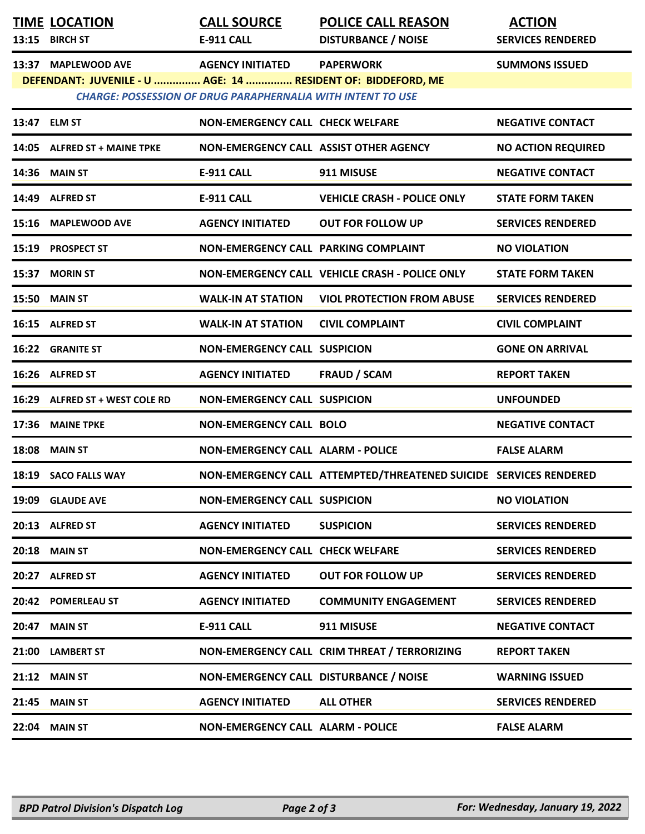| 13:15 | <b>TIME LOCATION</b><br><b>BIRCH ST</b>                                              | <b>CALL SOURCE</b><br>E-911 CALL                                                              | <b>POLICE CALL REASON</b><br><b>DISTURBANCE / NOISE</b>           | <b>ACTION</b><br><b>SERVICES RENDERED</b> |
|-------|--------------------------------------------------------------------------------------|-----------------------------------------------------------------------------------------------|-------------------------------------------------------------------|-------------------------------------------|
| 13:37 | <b>MAPLEWOOD AVE</b><br>DEFENDANT: JUVENILE - U  AGE: 14  RESIDENT OF: BIDDEFORD, ME | <b>AGENCY INITIATED</b><br><b>CHARGE: POSSESSION OF DRUG PARAPHERNALIA WITH INTENT TO USE</b> | <b>PAPERWORK</b>                                                  | <b>SUMMONS ISSUED</b>                     |
|       | 13:47 ELM ST                                                                         | NON-EMERGENCY CALL CHECK WELFARE                                                              |                                                                   | <b>NEGATIVE CONTACT</b>                   |
|       | 14:05 ALFRED ST + MAINE TPKE                                                         | NON-EMERGENCY CALL ASSIST OTHER AGENCY                                                        |                                                                   | <b>NO ACTION REQUIRED</b>                 |
|       | <b>14:36 MAIN ST</b>                                                                 | <b>E-911 CALL</b>                                                                             | 911 MISUSE                                                        | <b>NEGATIVE CONTACT</b>                   |
|       | 14:49 ALFRED ST                                                                      | <b>E-911 CALL</b>                                                                             | <b>VEHICLE CRASH - POLICE ONLY</b>                                | <b>STATE FORM TAKEN</b>                   |
|       | 15:16 MAPLEWOOD AVE                                                                  | <b>AGENCY INITIATED</b>                                                                       | <b>OUT FOR FOLLOW UP</b>                                          | <b>SERVICES RENDERED</b>                  |
| 15:19 | <b>PROSPECT ST</b>                                                                   | NON-EMERGENCY CALL PARKING COMPLAINT                                                          |                                                                   | <b>NO VIOLATION</b>                       |
| 15:37 | <b>MORIN ST</b>                                                                      |                                                                                               | NON-EMERGENCY CALL VEHICLE CRASH - POLICE ONLY                    | <b>STATE FORM TAKEN</b>                   |
| 15:50 | <b>MAIN ST</b>                                                                       | <b>WALK-IN AT STATION</b>                                                                     | <b>VIOL PROTECTION FROM ABUSE</b>                                 | <b>SERVICES RENDERED</b>                  |
|       | 16:15 ALFRED ST                                                                      | <b>WALK-IN AT STATION</b>                                                                     | <b>CIVIL COMPLAINT</b>                                            | <b>CIVIL COMPLAINT</b>                    |
|       | 16:22 GRANITE ST                                                                     | <b>NON-EMERGENCY CALL SUSPICION</b>                                                           |                                                                   | <b>GONE ON ARRIVAL</b>                    |
|       | 16:26 ALFRED ST                                                                      | <b>AGENCY INITIATED</b>                                                                       | <b>FRAUD / SCAM</b>                                               | <b>REPORT TAKEN</b>                       |
| 16:29 | <b>ALFRED ST + WEST COLE RD</b>                                                      | <b>NON-EMERGENCY CALL SUSPICION</b>                                                           |                                                                   | <b>UNFOUNDED</b>                          |
| 17:36 | <b>MAINE TPKE</b>                                                                    | <b>NON-EMERGENCY CALL BOLO</b>                                                                |                                                                   | <b>NEGATIVE CONTACT</b>                   |
| 18:08 | <b>MAIN ST</b>                                                                       | <b>NON-EMERGENCY CALL ALARM - POLICE</b>                                                      |                                                                   | <b>FALSE ALARM</b>                        |
|       | 18:19 SACO FALLS WAY                                                                 |                                                                                               | NON-EMERGENCY CALL ATTEMPTED/THREATENED SUICIDE SERVICES RENDERED |                                           |
| 19:09 | <b>GLAUDE AVE</b>                                                                    | <b>NON-EMERGENCY CALL SUSPICION</b>                                                           |                                                                   | <b>NO VIOLATION</b>                       |
|       | 20:13 ALFRED ST                                                                      | <b>AGENCY INITIATED</b>                                                                       | <b>SUSPICION</b>                                                  | <b>SERVICES RENDERED</b>                  |
| 20:18 | <b>MAIN ST</b>                                                                       | <b>NON-EMERGENCY CALL CHECK WELFARE</b>                                                       |                                                                   | <b>SERVICES RENDERED</b>                  |
|       | 20:27 ALFRED ST                                                                      | <b>AGENCY INITIATED</b>                                                                       | <b>OUT FOR FOLLOW UP</b>                                          | <b>SERVICES RENDERED</b>                  |
| 20:42 | <b>POMERLEAU ST</b>                                                                  | <b>AGENCY INITIATED</b>                                                                       | <b>COMMUNITY ENGAGEMENT</b>                                       | <b>SERVICES RENDERED</b>                  |
| 20:47 | <b>MAIN ST</b>                                                                       | <b>E-911 CALL</b>                                                                             | 911 MISUSE                                                        | <b>NEGATIVE CONTACT</b>                   |
| 21:00 | <b>LAMBERT ST</b>                                                                    |                                                                                               | NON-EMERGENCY CALL CRIM THREAT / TERRORIZING                      | <b>REPORT TAKEN</b>                       |
| 21:12 | <b>MAIN ST</b>                                                                       | NON-EMERGENCY CALL DISTURBANCE / NOISE                                                        |                                                                   | <b>WARNING ISSUED</b>                     |
| 21:45 | <b>MAIN ST</b>                                                                       | <b>AGENCY INITIATED</b>                                                                       | <b>ALL OTHER</b>                                                  | <b>SERVICES RENDERED</b>                  |
| 22:04 | <b>MAIN ST</b>                                                                       | <b>NON-EMERGENCY CALL ALARM - POLICE</b>                                                      |                                                                   | <b>FALSE ALARM</b>                        |